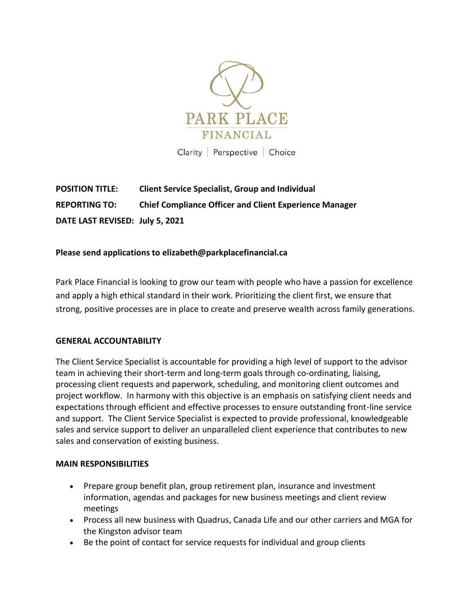

Clarity Perspective Choice

**POSITION TITLE: Client Service Specialist, Group and Individual REPORTING TO: Chief Compliance Officer and Client Experience Manager DATE LAST REVISED: July 5, 2021**

# **Please send applications to elizabeth@parkplacefinancial.ca**

Park Place Financial is looking to grow our team with people who have a passion for excellence and apply a high ethical standard in their work. Prioritizing the client first, we ensure that strong, positive processes are in place to create and preserve wealth across family generations.

### **GENERAL ACCOUNTABILITY**

The Client Service Specialist is accountable for providing a high level of support to the advisor team in achieving their short-term and long-term goals through co-ordinating, liaising, processing client requests and paperwork, scheduling, and monitoring client outcomes and project workflow. In harmony with this objective is an emphasis on satisfying client needs and expectations through efficient and effective processes to ensure outstanding front-line service and support. The Client Service Specialist is expected to provide professional, knowledgeable sales and service support to deliver an unparalleled client experience that contributes to new sales and conservation of existing business.

### **MAIN RESPONSIBILITIES**

- Prepare group benefit plan, group retirement plan, insurance and investment information, agendas and packages for new business meetings and client review meetings
- Process all new business with Quadrus, Canada Life and our other carriers and MGA for the Kingston advisor team
- Be the point of contact for service requests for individual and group clients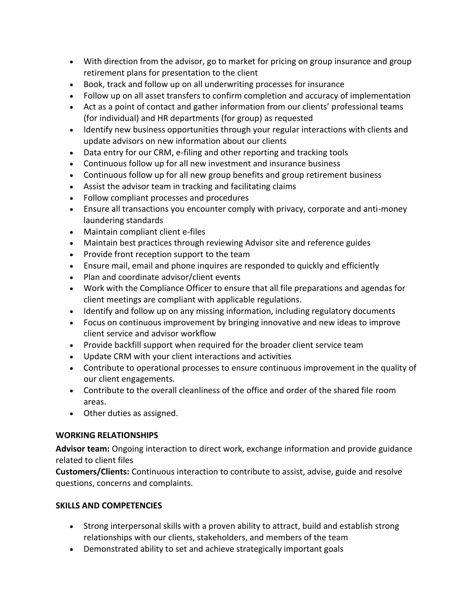- With direction from the advisor, go to market for pricing on group insurance and group retirement plans for presentation to the client
- Book, track and follow up on all underwriting processes for insurance
- Follow up on all asset transfers to confirm completion and accuracy of implementation
- Act as a point of contact and gather information from our clients' professional teams (for individual) and HR departments (for group) as requested
- Identify new business opportunities through your regular interactions with clients and update advisors on new information about our clients
- Data entry for our CRM, e-filing and other reporting and tracking tools
- Continuous follow up for all new investment and insurance business
- Continuous follow up for all new group benefits and group retirement business
- Assist the advisor team in tracking and facilitating claims
- Follow compliant processes and procedures
- Ensure all transactions you encounter comply with privacy, corporate and anti-money laundering standards
- Maintain compliant client e-files
- Maintain best practices through reviewing Advisor site and reference guides
- Provide front reception support to the team
- Ensure mail, email and phone inquires are responded to quickly and efficiently
- Plan and coordinate advisor/client events
- Work with the Compliance Officer to ensure that all file preparations and agendas for client meetings are compliant with applicable regulations.
- Identify and follow up on any missing information, including regulatory documents
- Focus on continuous improvement by bringing innovative and new ideas to improve client service and advisor workflow
- Provide backfill support when required for the broader client service team
- Update CRM with your client interactions and activities
- Contribute to operational processes to ensure continuous improvement in the quality of our client engagements.
- Contribute to the overall cleanliness of the office and order of the shared file room areas.
- Other duties as assigned.

# **WORKING RELATIONSHIPS**

**Advisor team:** Ongoing interaction to direct work, exchange information and provide guidance related to client files

**Customers/Clients:** Continuous interaction to contribute to assist, advise, guide and resolve questions, concerns and complaints.

# **SKILLS AND COMPETENCIES**

- Strong interpersonal skills with a proven ability to attract, build and establish strong relationships with our clients, stakeholders, and members of the team
- Demonstrated ability to set and achieve strategically important goals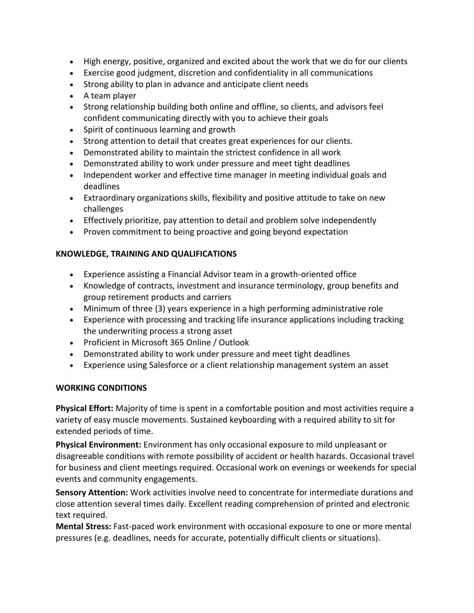- High energy, positive, organized and excited about the work that we do for our clients
- Exercise good judgment, discretion and confidentiality in all communications
- Strong ability to plan in advance and anticipate client needs
- A team player
- Strong relationship building both online and offline, so clients, and advisors feel confident communicating directly with you to achieve their goals
- Spirit of continuous learning and growth
- Strong attention to detail that creates great experiences for our clients.
- Demonstrated ability to maintain the strictest confidence in all work
- Demonstrated ability to work under pressure and meet tight deadlines
- Independent worker and effective time manager in meeting individual goals and deadlines
- Extraordinary organizations skills, flexibility and positive attitude to take on new challenges
- Effectively prioritize, pay attention to detail and problem solve independently
- Proven commitment to being proactive and going beyond expectation

# **KNOWLEDGE, TRAINING AND QUALIFICATIONS**

- Experience assisting a Financial Advisor team in a growth-oriented office
- Knowledge of contracts, investment and insurance terminology, group benefits and group retirement products and carriers
- Minimum of three (3) years experience in a high performing administrative role
- Experience with processing and tracking life insurance applications including tracking the underwriting process a strong asset
- Proficient in Microsoft 365 Online / Outlook
- Demonstrated ability to work under pressure and meet tight deadlines
- Experience using Salesforce or a client relationship management system an asset

# **WORKING CONDITIONS**

**Physical Effort:** Majority of time is spent in a comfortable position and most activities require a variety of easy muscle movements. Sustained keyboarding with a required ability to sit for extended periods of time.

**Physical Environment:** Environment has only occasional exposure to mild unpleasant or disagreeable conditions with remote possibility of accident or health hazards. Occasional travel for business and client meetings required. Occasional work on evenings or weekends for special events and community engagements.

**Sensory Attention:** Work activities involve need to concentrate for intermediate durations and close attention several times daily. Excellent reading comprehension of printed and electronic text required.

**Mental Stress:** Fast-paced work environment with occasional exposure to one or more mental pressures (e.g. deadlines, needs for accurate, potentially difficult clients or situations).